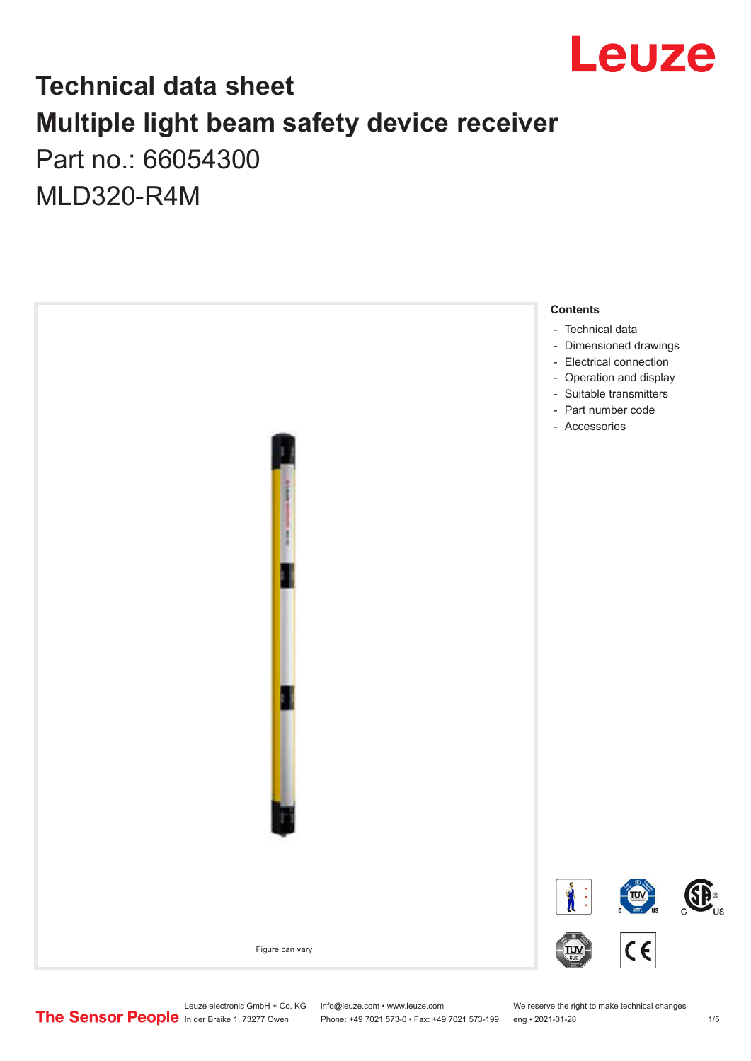

### **Technical data sheet Multiple light beam safety device receiver**

Part no.: 66054300 MLD320-R4M



Leuze electronic GmbH + Co. KG info@leuze.com • www.leuze.com We reserve the right to make technical changes<br>
The Sensor People in der Braike 1, 73277 Owen Phone: +49 7021 573-0 • Fax: +49 7021 573-199 eng • 2021-01-28

Phone: +49 7021 573-0 • Fax: +49 7021 573-199 eng • 2021-01-28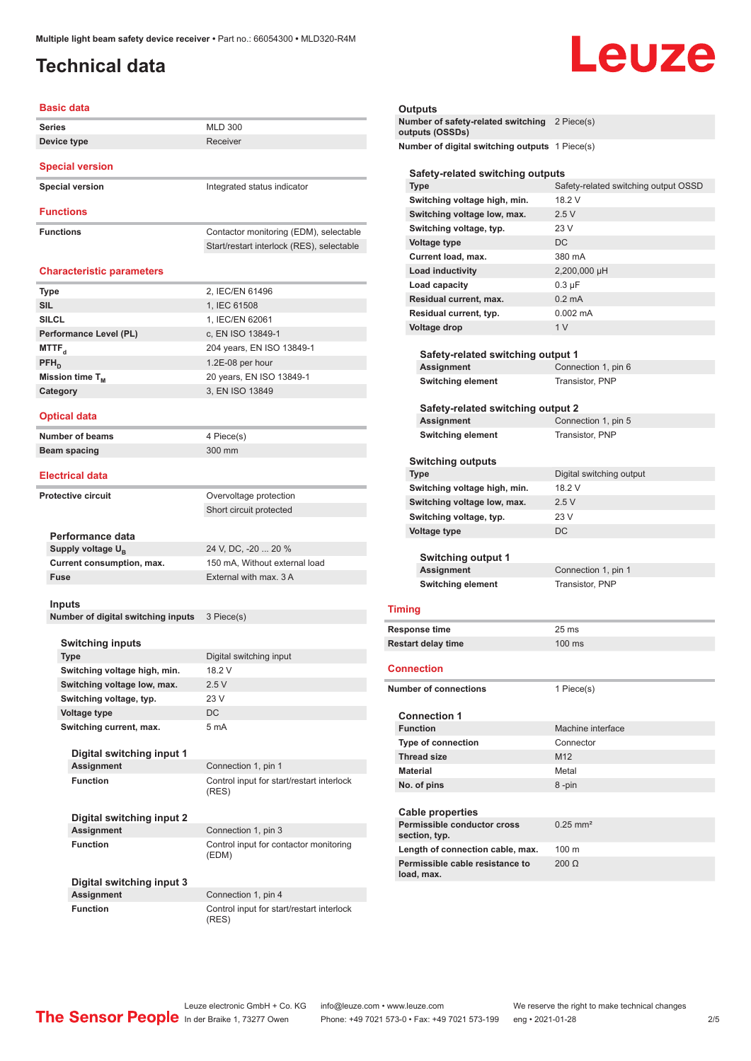### <span id="page-1-0"></span>**Technical data**

# Leuze

| <b>Basic data</b>                              |                                                    |
|------------------------------------------------|----------------------------------------------------|
| <b>Series</b>                                  | <b>MLD 300</b>                                     |
| Device type                                    | Receiver                                           |
| <b>Special version</b>                         |                                                    |
| <b>Special version</b>                         | Integrated status indicator                        |
| <b>Functions</b>                               |                                                    |
|                                                |                                                    |
| <b>Functions</b>                               | Contactor monitoring (EDM), selectable             |
|                                                | Start/restart interlock (RES), selectable          |
| <b>Characteristic parameters</b>               |                                                    |
| Type                                           | 2, IEC/EN 61496                                    |
| <b>SIL</b>                                     | 1, IEC 61508                                       |
| <b>SILCL</b>                                   | 1, IEC/EN 62061                                    |
| Performance Level (PL)                         | c, EN ISO 13849-1                                  |
| MTTF <sub>a</sub>                              | 204 years, EN ISO 13849-1                          |
| PFH <sub>D</sub>                               | 1.2E-08 per hour                                   |
| Mission time T <sub>M</sub>                    | 20 years, EN ISO 13849-1                           |
| Category                                       | 3, EN ISO 13849                                    |
| <b>Optical data</b>                            |                                                    |
| <b>Number of beams</b>                         | 4 Piece(s)                                         |
| <b>Beam spacing</b>                            | 300 mm                                             |
| <b>Electrical data</b>                         |                                                    |
| <b>Protective circuit</b>                      |                                                    |
|                                                | Overvoltage protection                             |
|                                                | Short circuit protected                            |
| Performance data                               |                                                    |
| Supply voltage $U_{B}$                         | 24 V, DC, -20  20 %                                |
| Current consumption, max.                      | 150 mA, Without external load                      |
| <b>Fuse</b>                                    | External with max, 3 A                             |
|                                                |                                                    |
| <b>Inputs</b>                                  |                                                    |
| Number of digital switching inputs             | 3 Piece(s)                                         |
|                                                |                                                    |
| <b>Switching inputs</b><br>Type                | Digital switching input                            |
| Switching voltage high, min.                   | 18.2 V                                             |
| Switching voltage low, max.                    | 2.5V                                               |
| Switching voltage, typ.                        | 23 V                                               |
| Voltage type                                   | DC                                                 |
| Switching current, max.                        | 5 mA                                               |
|                                                |                                                    |
| Digital switching input 1<br><b>Assignment</b> | Connection 1, pin 1                                |
| <b>Function</b>                                | Control input for start/restart interlock          |
|                                                | (RES)                                              |
| Digital switching input 2                      |                                                    |
| <b>Assignment</b>                              | Connection 1, pin 3                                |
| <b>Function</b>                                | Control input for contactor monitoring<br>(EDM)    |
| Digital switching input 3                      |                                                    |
| <b>Assignment</b>                              | Connection 1, pin 4                                |
| <b>Function</b>                                | Control input for start/restart interlock<br>(RES) |

| Outputs                                                          |                                      |  |
|------------------------------------------------------------------|--------------------------------------|--|
| Number of safety-related switching 2 Piece(s)<br>outputs (OSSDs) |                                      |  |
| Number of digital switching outputs 1 Piece(s)                   |                                      |  |
| Safety-related switching outputs                                 |                                      |  |
| <b>Type</b>                                                      | Safety-related switching output OSSD |  |
| Switching voltage high, min.                                     | 18.2 V                               |  |
| Switching voltage low, max.                                      | 2.5V                                 |  |
| Switching voltage, typ.                                          | 23V                                  |  |
| <b>Voltage type</b>                                              | DC                                   |  |
| Current load, max.                                               | 380 mA                               |  |
| <b>Load inductivity</b>                                          | 2,200,000 µH                         |  |
| <b>Load capacity</b>                                             | $0.3 \mu F$                          |  |
| Residual current, max.                                           | $0.2 \text{ mA}$                     |  |
| Residual current, typ.                                           | $0.002$ mA                           |  |
| Voltage drop                                                     | 1 <sub>V</sub>                       |  |
|                                                                  |                                      |  |
| Safety-related switching output 1                                |                                      |  |
| <b>Assignment</b>                                                | Connection 1, pin 6                  |  |
| <b>Switching element</b>                                         | Transistor, PNP                      |  |
| Safety-related switching output 2                                |                                      |  |
| Assignment                                                       | Connection 1, pin 5                  |  |
| <b>Switching element</b>                                         | Transistor, PNP                      |  |
|                                                                  |                                      |  |
| <b>Switching outputs</b>                                         |                                      |  |
| <b>Type</b>                                                      | Digital switching output             |  |
| Switching voltage high, min.                                     | 18.2 V                               |  |
| Switching voltage low, max.                                      | 2.5V                                 |  |
| Switching voltage, typ.                                          | 23 V                                 |  |
| Voltage type                                                     | DC                                   |  |
|                                                                  |                                      |  |
| <b>Switching output 1</b>                                        |                                      |  |
| Assignment                                                       | Connection 1, pin 1                  |  |
| <b>Switching element</b>                                         | Transistor, PNP                      |  |
| <b>Timing</b>                                                    |                                      |  |
| Response time                                                    | 25 ms                                |  |
| <b>Restart delay time</b>                                        | 100 ms                               |  |
|                                                                  |                                      |  |
| Connection                                                       |                                      |  |
| <b>Number of connections</b>                                     | 1 Piece(s)                           |  |
| <b>Connection 1</b>                                              |                                      |  |
| <b>Function</b>                                                  | Machine interface                    |  |
| <b>Type of connection</b>                                        | Connector                            |  |
| <b>Thread size</b>                                               | M <sub>12</sub>                      |  |
| <b>Material</b>                                                  | Metal                                |  |
| No. of pins                                                      | 8-pin                                |  |
|                                                                  |                                      |  |
| <b>Cable properties</b>                                          |                                      |  |
| Permissible conductor cross<br>section, typ.                     | $0.25$ mm <sup>2</sup>               |  |
| Length of connection cable, max.                                 | 100 m                                |  |
| Permissible cable resistance to                                  | $200 \Omega$                         |  |
| load, max.                                                       |                                      |  |

Leuze electronic GmbH + Co. KG info@leuze.com • www.leuze.com We reserve the right to make technical changes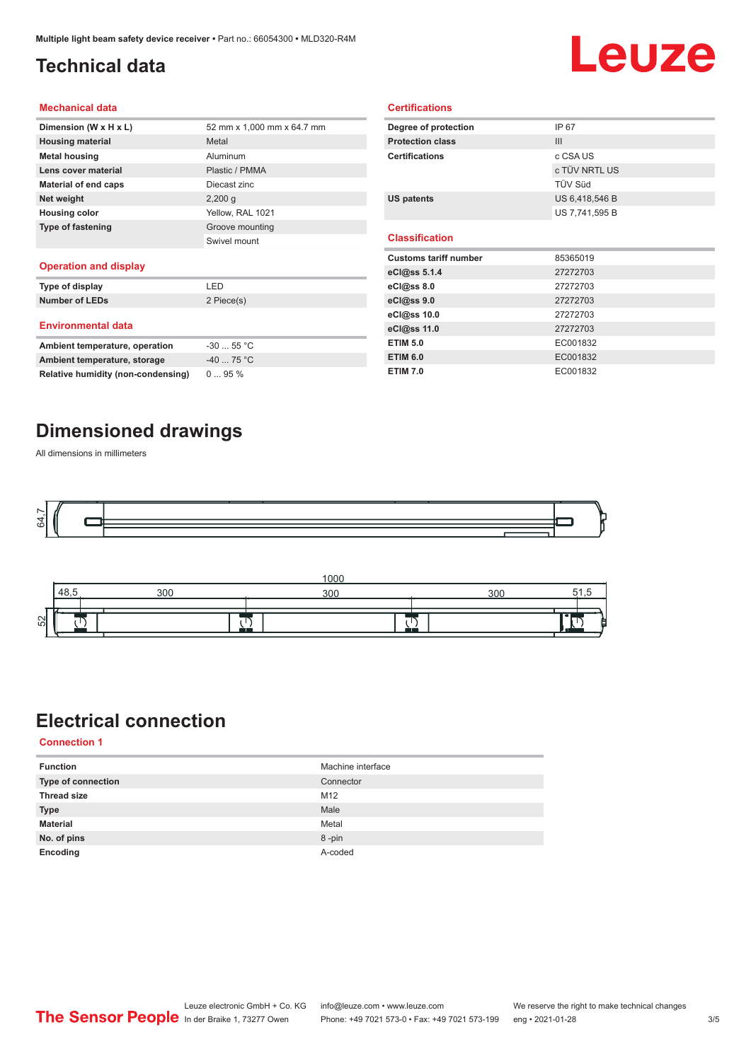### <span id="page-2-0"></span>**Technical data**

# Leuze

#### **Mechanical data**

| Dimension (W x H x L)                      | 52 mm x 1.000 mm x 64.7 mm |
|--------------------------------------------|----------------------------|
| <b>Housing material</b>                    | Metal                      |
| <b>Metal housing</b>                       | Aluminum                   |
| Lens cover material                        | Plastic / PMMA             |
| Material of end caps                       | Diecast zinc               |
| Net weight                                 | $2,200$ q                  |
| <b>Housing color</b>                       | Yellow, RAL 1021           |
| <b>Type of fastening</b>                   | Groove mounting            |
|                                            | Swivel mount               |
| Charles and the second and the self-second |                            |

#### **Operation and display**

| Type of display                | I FD        |  |
|--------------------------------|-------------|--|
| <b>Number of LEDs</b>          | 2 Piece(s)  |  |
| <b>Environmental data</b>      |             |  |
| Ambient temperature, operation | $-3055$ °C  |  |
| Ambient temperature, storage   | $-40$ 75 °C |  |

| Degree of protection         | IP 67          |
|------------------------------|----------------|
| <b>Protection class</b>      | III            |
| <b>Certifications</b>        | c CSA US       |
|                              | c TÜV NRTL US  |
|                              | TÜV Süd        |
| <b>US patents</b>            | US 6,418,546 B |
|                              | US 7,741,595 B |
|                              |                |
| <b>Classification</b>        |                |
|                              |                |
| <b>Customs tariff number</b> | 85365019       |
| eCl@ss 5.1.4                 | 27272703       |
| eCl@ss 8.0                   | 27272703       |
| eCl@ss 9.0                   | 27272703       |
| eCl@ss 10.0                  | 27272703       |
| eCl@ss 11.0                  | 27272703       |
| <b>ETIM 5.0</b>              | EC001832       |
| <b>ETIM 6.0</b>              | EC001832       |

**Certifications**

#### **Dimensioned drawings**

**Relative humidity (non-condensing)** 0 ... 95 %

All dimensions in millimeters





#### **Electrical connection**

**Connection 1**

| <b>Function</b>           | Machine interface |
|---------------------------|-------------------|
| <b>Type of connection</b> | Connector         |
| <b>Thread size</b>        | M12               |
| <b>Type</b>               | Male              |
| <b>Material</b>           | Metal             |
| No. of pins               | 8-pin             |
| Encoding                  | A-coded           |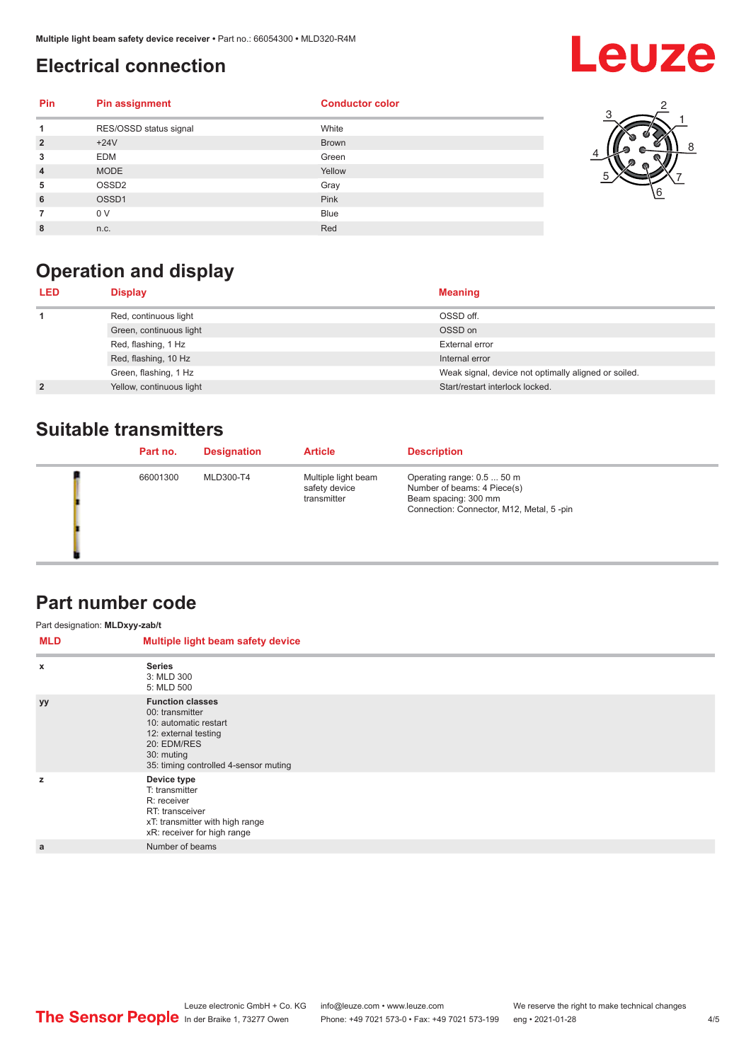#### <span id="page-3-0"></span>**Electrical connection**

## **Leuze**

| <b>Pin</b>     | <b>Pin assignment</b>  | <b>Conductor color</b> |
|----------------|------------------------|------------------------|
| 1              | RES/OSSD status signal | White                  |
| $\overline{2}$ | $+24V$                 | <b>Brown</b>           |
| 3              | <b>EDM</b>             | Green                  |
| $\overline{4}$ | <b>MODE</b>            | Yellow                 |
| 5              | OSSD <sub>2</sub>      | Gray                   |
| 6              | OSSD1                  | Pink                   |
|                | 0 V                    | <b>Blue</b>            |
| 8              | n.c.                   | Red                    |



### **Operation and display**

| <b>LED</b>     | <b>Display</b>           | <b>Meaning</b>                                       |
|----------------|--------------------------|------------------------------------------------------|
|                | Red, continuous light    | OSSD off.                                            |
|                | Green, continuous light  | OSSD on                                              |
|                | Red, flashing, 1 Hz      | External error                                       |
|                | Red, flashing, 10 Hz     | Internal error                                       |
|                | Green, flashing, 1 Hz    | Weak signal, device not optimally aligned or soiled. |
| $\overline{2}$ | Yellow, continuous light | Start/restart interlock locked.                      |

#### **Suitable transmitters**

| Part no. | <b>Designation</b> | <b>Article</b>                                      | <b>Description</b>                                                                                                            |
|----------|--------------------|-----------------------------------------------------|-------------------------------------------------------------------------------------------------------------------------------|
| 66001300 | MLD300-T4          | Multiple light beam<br>safety device<br>transmitter | Operating range: 0.5  50 m<br>Number of beams: 4 Piece(s)<br>Beam spacing: 300 mm<br>Connection: Connector, M12, Metal, 5-pin |

#### **Part number code**

| Part designation: MLDxyy-zab/t |                                                                                                                                                                   |  |  |
|--------------------------------|-------------------------------------------------------------------------------------------------------------------------------------------------------------------|--|--|
| <b>MLD</b>                     | Multiple light beam safety device                                                                                                                                 |  |  |
| $\boldsymbol{\mathsf{x}}$      | <b>Series</b><br>3: MLD 300<br>5: MLD 500                                                                                                                         |  |  |
| <b>yy</b>                      | <b>Function classes</b><br>00: transmitter<br>10: automatic restart<br>12: external testing<br>20: EDM/RES<br>30: muting<br>35: timing controlled 4-sensor muting |  |  |
| z                              | Device type<br>T: transmitter<br>R: receiver<br>RT: transceiver<br>xT: transmitter with high range<br>xR: receiver for high range                                 |  |  |
| a                              | Number of beams                                                                                                                                                   |  |  |